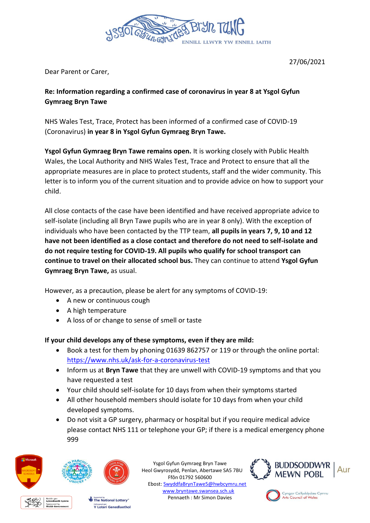

27/06/2021

Dear Parent or Carer,

## **Re: Information regarding a confirmed case of coronavirus in year 8 at Ysgol Gyfun Gymraeg Bryn Tawe**

NHS Wales Test, Trace, Protect has been informed of a confirmed case of COVID-19 (Coronavirus) **in year 8 in Ysgol Gyfun Gymraeg Bryn Tawe.**

**Ysgol Gyfun Gymraeg Bryn Tawe remains open.** It is working closely with Public Health Wales, the Local Authority and NHS Wales Test, Trace and Protect to ensure that all the appropriate measures are in place to protect students, staff and the wider community. This letter is to inform you of the current situation and to provide advice on how to support your child.

All close contacts of the case have been identified and have received appropriate advice to self-isolate (including all Bryn Tawe pupils who are in year 8 only). With the exception of individuals who have been contacted by the TTP team, **all pupils in years 7, 9, 10 and 12 have not been identified as a close contact and therefore do not need to self-isolate and do not require testing for COVID-19. All pupils who qualify for school transport can continue to travel on their allocated school bus.** They can continue to attend **Ysgol Gyfun Gymraeg Bryn Tawe,** as usual.

However, as a precaution, please be alert for any symptoms of COVID-19:

- A new or continuous cough
- A high temperature
- A loss of or change to sense of smell or taste

**If your child develops any of these symptoms, even if they are mild:**

- Book a test for them by phoning 01639 862757 or 119 or through the online portal: <https://www.nhs.uk/ask-for-a-coronavirus-test>
- Inform us at **Bryn Tawe** that they are unwell with COVID-19 symptoms and that you have requested a test
- Your child should self-isolate for 10 days from when their symptoms started
- All other household members should isolate for 10 days from when your child developed symptoms.
- Do not visit a GP surgery, pharmacy or hospital but if you require medical advice please contact NHS 111 or telephone your GP; if there is a medical emergency phone 999



Ysgol Gyfun Gymraeg Bryn Tawe Heol Gwyrosydd, Penlan, Abertawe SA5 7BU Ffôn 01792 560600 Ebost: [SwyddfaBrynTawe5@hwbcymru.net](mailto:SwyddfaBrynTawe5@hwbcymru.net) [www.bryntawe.swansea.sch.uk](http://www.bryntawe.swansea.sch.uk/) Pennaeth : Mr Simon Davies